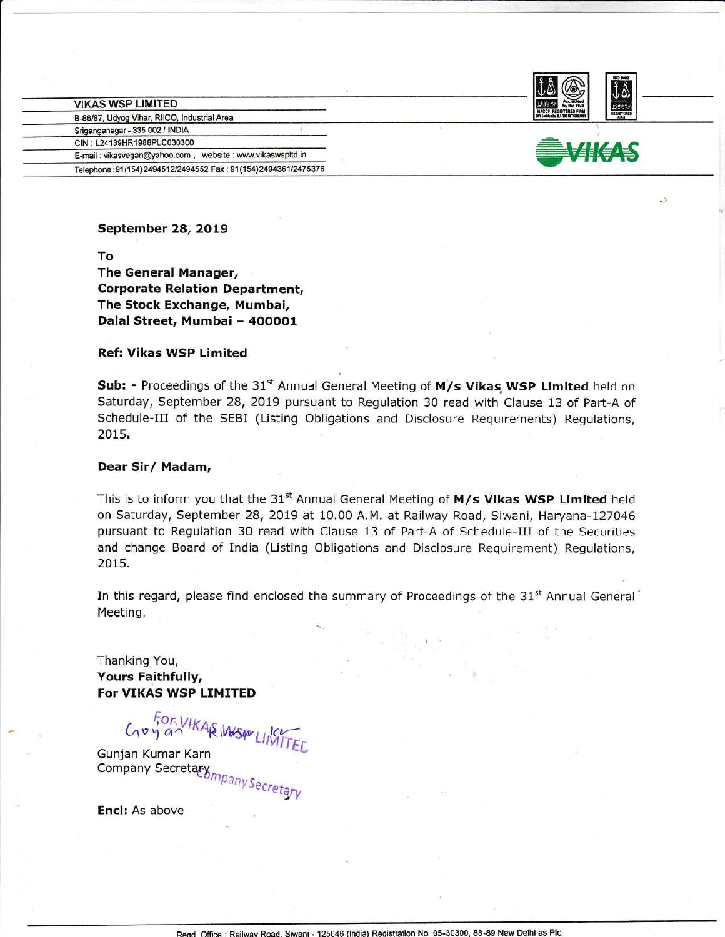| the RVA                      |  |
|------------------------------|--|
| <b>HACCP REGISTERED FIRM</b> |  |

| <b>VIKAS WSP LIMITED</b>                                        |
|-----------------------------------------------------------------|
| B-86/87, Udyog Vihar, RIICO, Industrial Area                    |
| Sriganganagar - 335 002 / INDIA                                 |
| CIN: L24139HR1988PLC030300                                      |
| E-mail: vikasvegan@yahoo.com, website: www.vikaswspltd.in       |
| Telephone: 91(154) 2494512/2494552 Fax: 91(154) 2494361/2475376 |



 $\sqrt{2}$ 

September 28, 2019

lo The General Manager, Corporate Relation Department, The Stock Exchange, Mumbai, Dalal Street, Mumbai - 400001

## Ref: Vikas WSP Limited

Sub: - Proceedings of the  $31^{st}$  Annual General Meeting of  $M/s$  Vikas WSP Limited held on Saturday, September 28, 2Ot9 pursuant to Regulation 30 read with Clause 13 of Part-A of Schedule-Ill of the SEBI (Listing Obligations and Disclosure Requirements) Regulations, 2015.

#### Dear Sir/ Madam,

This is to inform you that the 31<sup>st</sup> Annual General Meeting of  $M/s$  Vikas WSP Limited held on Saturday, September 28,2019 at 10.00 A.M. at Railway Road, Siwani, Haryana-127045 pursuant to Regulation 30 read with Clause 13 of Part-A of Schedule-Ill of the Securities and change Board of India (Listing Obligations and Disclosure Requirement) Regulations, 2015.

In this regard, please find enclosed the summary of Proceedings of the  $31<sup>st</sup>$  Annual General<sup>®</sup> Meeting.

Thanking You, Yours Faithfully, For VIKAS WSP LIMITED

Con VIKAR WASP LINTEL

Gunjan Kumar Karn Company Secretary

Encl: As above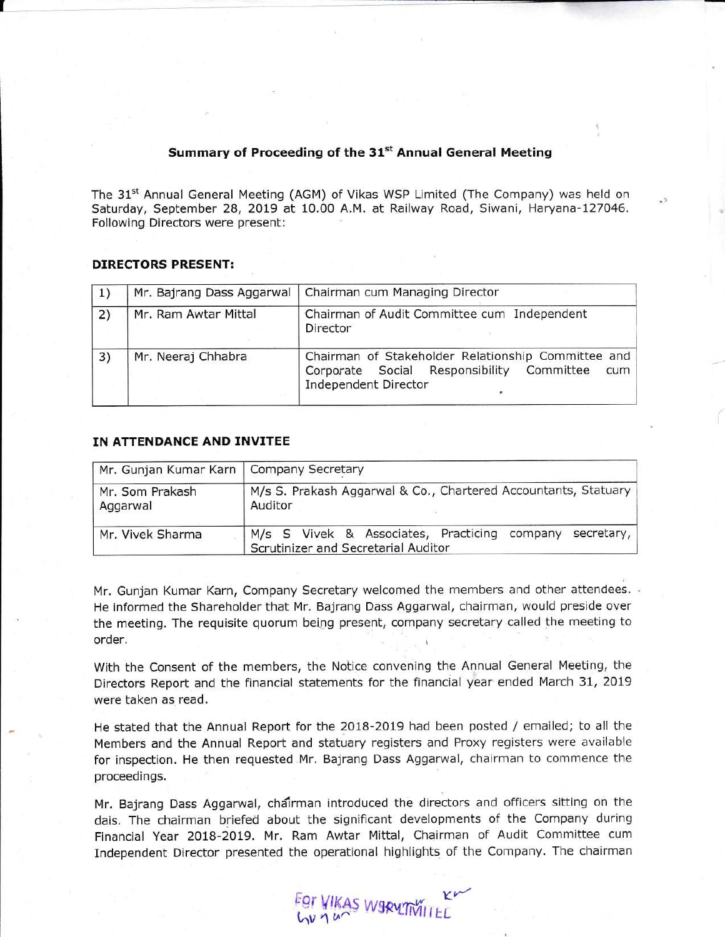# Summary of Proceeding of the 31<sup>st</sup> Annual General Meeting

The 31<sup>st</sup> Annual General Meeting (AGM) of Vikas WSP Limited (The Company) was held on Saturday, September 28, 2019 at 10.00 A.M. at Railway Road, Siwani, Haryana-127046. Following Directors were present:

#### DIRECTORS PRESENT:

 $\mathbf{f}$ 

| <sup>1</sup> | Mr. Bajrang Dass Aggarwal | Chairman cum Managing Director                                                                                                 |
|--------------|---------------------------|--------------------------------------------------------------------------------------------------------------------------------|
| 2)           | Mr. Ram Awtar Mittal      | Chairman of Audit Committee cum Independent<br>Director                                                                        |
| 3)           | Mr. Neeraj Chhabra        | Chairman of Stakeholder Relationship Committee and<br>Corporate Social Responsibility Committee<br>cum<br>Independent Director |

#### IN ATTENDANCE AND INVITEE

| Mr. Gunjan Kumar Karn   Company Secretary |                                                                                                  |  |  |
|-------------------------------------------|--------------------------------------------------------------------------------------------------|--|--|
| Mr. Som Prakash<br>Aggarwal               | M/s S. Prakash Aggarwal & Co., Chartered Accountants, Statuary<br>Auditor                        |  |  |
| Mr. Vivek Sharma                          | M/s S Vivek & Associates, Practicing company secretary,  <br>Scrutinizer and Secretarial Auditor |  |  |

Mr. Gunjan Kumar Karn, Company Secretary welcomed the members and other attendees. He informed the Shareholder that Mr. Bajrang Dass Aggarwal, chairman, would preside over the meeting. The requisite quorum being present, company secretary called the meeting to order.

With the Consent of the members, the Notice convening the Annual General Meeting, the Directors Report and the financial statements for the financial year ended March 31, 2019 were taken as read.

He stated that the Annual Report for the 20lB-2O19 had been posted / emailed; to all the Members and the Annual Report and statuary registers and Proxy registers were available for inspection. He then requested Mr. Bajrang Dass Aggarwal, chairman to commence the proceedings.

Mr. Bajrang Dass Aggarwal, chairman introduced the directors and officers sitting on the dais, The chairman briefed about the significant developments of the Company during Financial Year 2018-20t9. Mr. Ram Awtar Mittal, Chairman of Audit Committee cum Independent Director presented the operational highlights of the Company. The chairman

For VIKAS WSRUTIVILLE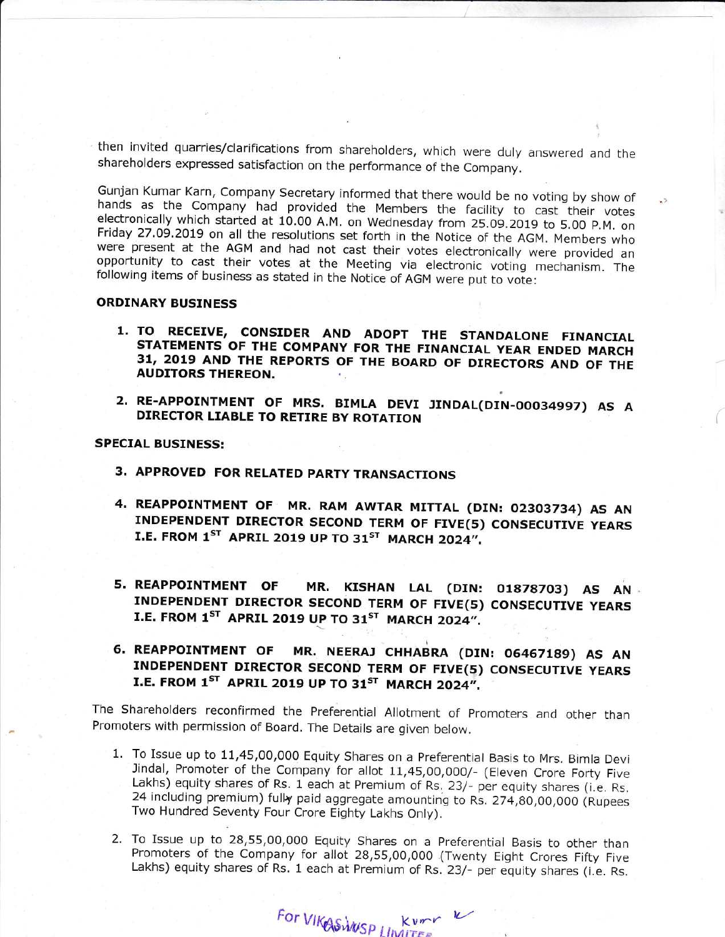then invited quarries/clarifications from shareholders, which were duly answered and the shareholders expressed satisfaction on the performance of the Company.

Gunjan Kumar Karn, Company Secretary informed that there would be no voting by show of hands as the Company had provided the Members the facility to cast their votes electronically which started at 10.00 A.M. on Wednesday from 25.09.2019 to 5.00 P.M. on Friday 27.09.2019 on all the resolutions set forth in the Notice of the AGM. Members who were present at the AGM and had not cast their votes electronically were provided an opportunity to cast their votes at the Meeting via electronic voting mechanism. The following items of business as stated in the Notice of AGM were put to vote:

### **ORDINARY BUSINESS**

- 1. TO RECEIVE, CONSIDER AND ADOPT THE STANDALONE FINANCIAL STATEMENTS OF THE COMPANY FOR THE FINANCIAL YEAR ENDED MARCH 31, 2019 AND THE REPORTS OF THE BOARD OF DIRECTORS AND OF THE **AUDITORS THEREON.**
- 2. RE-APPOINTMENT OF MRS. BIMLA DEVI JINDAL(DIN-00034997) AS A DIRECTOR LIABLE TO RETIRE BY ROTATION

**SPECIAL BUSINESS:** 

- 3. APPROVED FOR RELATED PARTY TRANSACTIONS
- 4. REAPPOINTMENT OF MR. RAM AWTAR MITTAL (DIN: 02303734) AS AN INDEPENDENT DIRECTOR SECOND TERM OF FIVE(5) CONSECUTIVE YEARS I.E. FROM 1ST APRIL 2019 UP TO 31ST MARCH 2024".
- 5. REAPPOINTMENT OF MR. KISHAN LAL (DIN: 01878703) AS AN INDEPENDENT DIRECTOR SECOND TERM OF FIVE(5) CONSECUTIVE YEARS I.E. FROM 1<sup>ST</sup> APRIL 2019 UP TO 31<sup>ST</sup> MARCH 2024".
- **6. REAPPOINTMENT OF** MR. NEERAJ CHHABRA (DIN: 06467189) AS AN INDEPENDENT DIRECTOR SECOND TERM OF FIVE(5) CONSECUTIVE YEARS I.E. FROM 1ST APRIL 2019 UP TO 31ST MARCH 2024".

The Shareholders reconfirmed the Preferential Allotment of Promoters and other than Promoters with permission of Board. The Details are given below.

- 1. To Issue up to 11,45,00,000 Equity Shares on a Preferential Basis to Mrs. Bimla Devi Jindal, Promoter of the Company for allot 11,45,00,000/- (Eleven Crore Forty Five Lakhs) equity shares of Rs. 1 each at Premium of Rs. 23/- per equity shares (i.e. Rs. 24 including premium) fully paid aggregate amounting to Rs. 274,80,00,000 (Rupees Two Hundred Seventy Four Crore Eighty Lakhs Only).
- 2. To Issue up to 28,55,00,000 Equity Shares on a Preferential Basis to other than Promoters of the Company for allot 28,55,00,000 (Twenty Eight Crores Fifty Five Lakhs) equity shares of Rs. 1 each at Premium of Rs. 23/- per equity shares (i.e. Rs.

For VIKE SWUSP LIMITER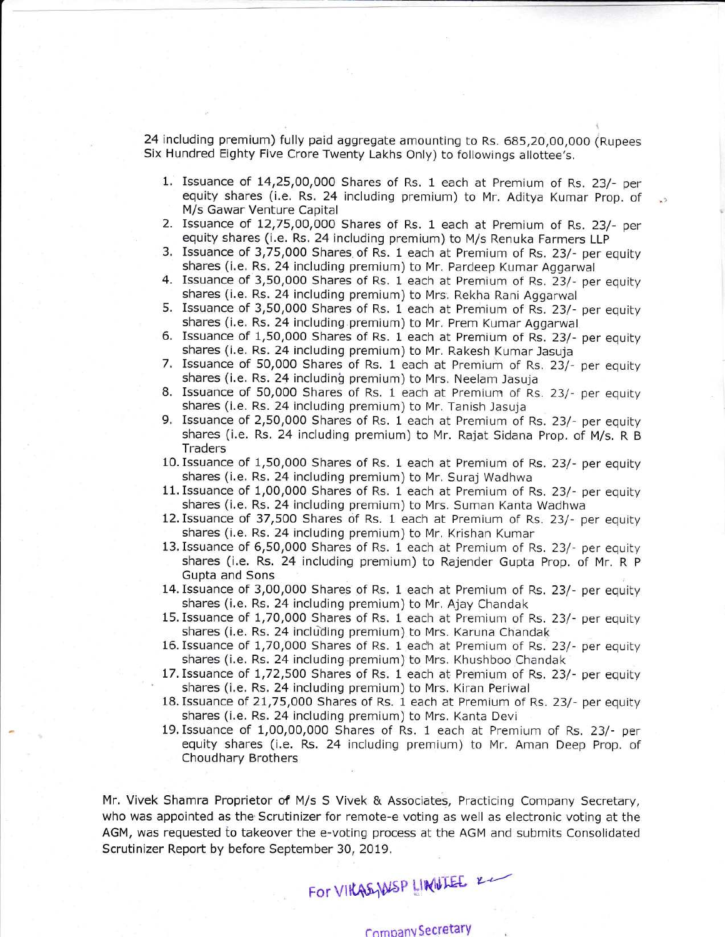24 including premium) fully paid aggregate amounting to Rs. 685,20,00,000 (Rupees Six Hundred Eighty Five Crore Twenty Lakhs Only) to followings allottee's.

- 1. Issuance of L4,25,00,000 Shares of Rs. 1 each at Premium of Rs. 23/- per equity shares (i.e. Rs. 24 including premium) to Mr. Aditya Kumar Prop. of M/s Gawar Venture Capital
- 2. Issuance of 12,75,00,000 Shares of Rs. 1 each at Premium of Rs. 23/- per equity shares (i.e. Rs. 24 including premium) to M/s Renuka Farmers LLP
- 3. Issuance of 3,75,000 Shares of Rs. 1 each at Premium of Rs. 23/- per equity shares (i.e. Rs. 24 including premium) to Mr. Pardeep Kumar Aggarwal
- 4. Issuance of 3,50,000 Shares of Rs. 1 each at Premium of Rs. 23/- per equity shares (i.e. Rs. 24 including premium) to Mrs. Rekha Rani Aggarwal
- 5. Issuance of 3,50,000 Shares of Rs. 1 each at Premium of Rs. 23/- per equity shares (i.e. Rs. 24 including premium) to Mr. Prem Kumar Aggarwal
- 6. Issuance of 1,50,000 Shares of Rs. 1 each at Premium of Rs. 23/- per equity shares (i.e. Rs. 24 including premium) to Mr. Rakesh Kumar Jasuja
- 7. Issuance of 50,000 Shares of Rs. 1 each at Premium of Rs. 23/- per equity shares (i.e. Rs. 24 including premium) to Mrs. Neelam Jasuja
- B. Issuance of 50,000 Shares of Rs. 1 each at Premium of Rs, 23/- per equity shares (i.e. Rs. 24 including premium) to Mr. Tanish Jasuja
- 9. Issuance of 2,50,000 Shares of Rs. 1 each at Premium of Rs. 23/- per equity shares (i.e. Rs. 24 including premium) to Mr. Rajat Sidana Prop. of M/s. R <sup>B</sup> **Traders**
- l0.Issuance of 1,50,000 Shares of Rs. 1 each at Premium of Rs. 23/- per equity shares (i.e. Rs. 24 including premium) to Mr. Suraj Wadhwa
- 11. Issuance of 1,00,000 Shares of Rs. 1 each at Premium of Rs. 23/- per equity shares (i,e. Rs. 24 including premium) to Mrs. Suman Kanta Wadhwa
- 12.Issuance of 37,500 Shares of Rs. 1 each at Premium of Rs. 23/- per equity shares (i.e. Rs. 24 including premium) to Mr, Krishan Kumar
- 13.Issuance of 6,50,000 Shares of Rs. 1 each at Premium of Rs. 23/- per equity shares (i.e. Rs. 24 including premium) to Rajender Gupta Prop. of Mr. R P Gupta and Sons
- 14.Issuance of 3,00,000 Shares of Rs. 1 each at Premium of Rs. 23/- per equity shares (i.e. Rs. 24 including premium) to Mr. Ajay Chandak
- 15. Issuance of 1,70,000 Shares of Rs. 1 each at Premium of Rs. 23/- per equity shares (i.e. Rs. 24 including premium) to Mrs. Karuna Chandak
- 16. Issuance of 1,70,000 Shares of Rs. 1 each at Premium of Rs. 23/- per equity shares (i.e. Rs. 24 including.premium) to Mrs. Khushboo Chandak
- 17. Issuance of 1,72,500 Shares of Rs. 1 each at Premium of Rs. 23/- per equity shares (i.e. Rs. 24 including premium) to Mrs. Kiran Periwal
- lB.Issuance of 21,75,000 Shares of Rs. 1 each at Premium of Rs. 23/- per equity shares (i.e. Rs. 24 including premium) to Mrs. Kanta Devi
- lg,Issuance of 1,00,00,000 Shares of Rs. l each at Premium of Rs. 23/- per equity shares (i.e. Rs. 24 including premium) to Mr, Aman Deep Prop. of Choudhary Brothers

Mr. Vivek Shamra Proprietor of M/s S Vivek & Associates, Practicing Company Secretary, who was appointed as the Scrutinizer for remote-e voting as well as electronic voting at the AGM, was requested io takeover the e-voting process at the AGM and submits Consolidated Scrutinizer Report by before September 30, 2019.

# For VIKASHUSP LINILLEE 22

# comoanvSecretary